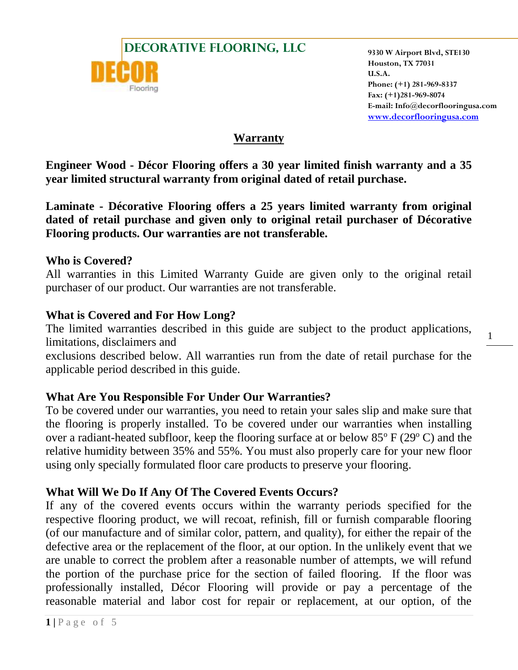



**Houston, TX 77031 U.S.A. Phone: (+1) 281-969-8337 Fax: (+1)281-969-8074 E-mail: Info@decorflooringusa.com [www.decorflooringusa.com](http://www.decorflooringusa.com/)**

1

### **Warranty**

**Engineer Wood - Décor Flooring offers a 30 year limited finish warranty and a 35 year limited structural warranty from original dated of retail purchase.**

**Laminate - Décorative Flooring offers a 25 years limited warranty from original dated of retail purchase and given only to original retail purchaser of Décorative Flooring products. Our warranties are not transferable.**

#### **Who is Covered?**

All warranties in this Limited Warranty Guide are given only to the original retail purchaser of our product. Our warranties are not transferable.

#### **What is Covered and For How Long?**

The limited warranties described in this guide are subject to the product applications, limitations, disclaimers and

exclusions described below. All warranties run from the date of retail purchase for the applicable period described in this guide.

# **What Are You Responsible For Under Our Warranties?**

To be covered under our warranties, you need to retain your sales slip and make sure that the flooring is properly installed. To be covered under our warranties when installing over a radiant-heated subfloor, keep the flooring surface at or below  $85^{\circ}$  F (29 $^{\circ}$  C) and the relative humidity between 35% and 55%. You must also properly care for your new floor using only specially formulated floor care products to preserve your flooring.

# **What Will We Do If Any Of The Covered Events Occurs?**

If any of the covered events occurs within the warranty periods specified for the respective flooring product, we will recoat, refinish, fill or furnish comparable flooring (of our manufacture and of similar color, pattern, and quality), for either the repair of the defective area or the replacement of the floor, at our option. In the unlikely event that we are unable to correct the problem after a reasonable number of attempts, we will refund the portion of the purchase price for the section of failed flooring. If the floor was professionally installed, Décor Flooring will provide or pay a percentage of the reasonable material and labor cost for repair or replacement, at our option, of the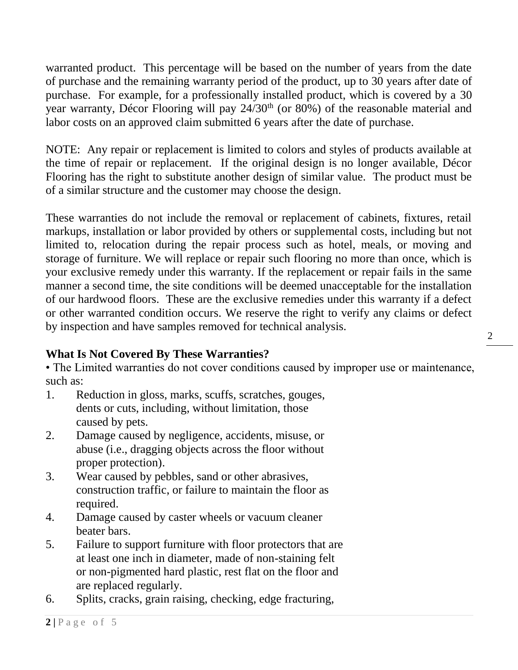warranted product. This percentage will be based on the number of years from the date of purchase and the remaining warranty period of the product, up to 30 years after date of purchase. For example, for a professionally installed product, which is covered by a 30 year warranty, Décor Flooring will pay 24/30<sup>th</sup> (or 80%) of the reasonable material and labor costs on an approved claim submitted 6 years after the date of purchase.

NOTE: Any repair or replacement is limited to colors and styles of products available at the time of repair or replacement. If the original design is no longer available, Décor Flooring has the right to substitute another design of similar value. The product must be of a similar structure and the customer may choose the design.

These warranties do not include the removal or replacement of cabinets, fixtures, retail markups, installation or labor provided by others or supplemental costs, including but not limited to, relocation during the repair process such as hotel, meals, or moving and storage of furniture. We will replace or repair such flooring no more than once, which is your exclusive remedy under this warranty. If the replacement or repair fails in the same manner a second time, the site conditions will be deemed unacceptable for the installation of our hardwood floors. These are the exclusive remedies under this warranty if a defect or other warranted condition occurs. We reserve the right to verify any claims or defect by inspection and have samples removed for technical analysis.

# **What Is Not Covered By These Warranties?**

• The Limited warranties do not cover conditions caused by improper use or maintenance, such as:

- 1. Reduction in gloss, marks, scuffs, scratches, gouges, dents or cuts, including, without limitation, those caused by pets.
- 2. Damage caused by negligence, accidents, misuse, or abuse (i.e., dragging objects across the floor without proper protection).
- 3. Wear caused by pebbles, sand or other abrasives, construction traffic, or failure to maintain the floor as required.
- 4. Damage caused by caster wheels or vacuum cleaner beater bars.
- 5. Failure to support furniture with floor protectors that are at least one inch in diameter, made of non-staining felt or non-pigmented hard plastic, rest flat on the floor and are replaced regularly.
- 6. Splits, cracks, grain raising, checking, edge fracturing,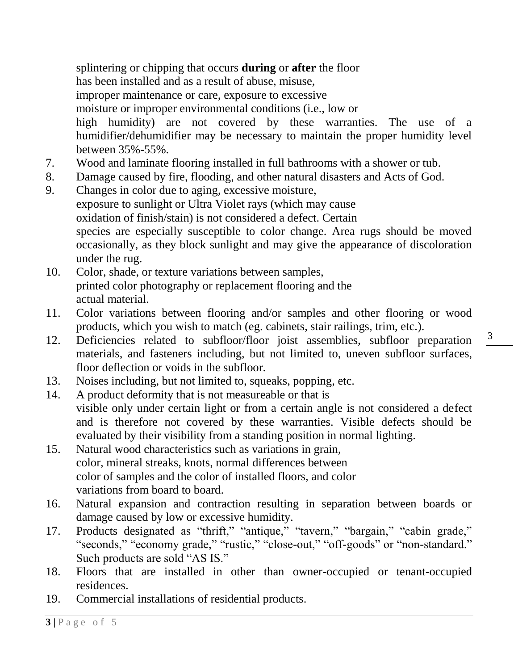splintering or chipping that occurs **during** or **after** the floor has been installed and as a result of abuse, misuse, improper maintenance or care, exposure to excessive moisture or improper environmental conditions (i.e., low or high humidity) are not covered by these warranties. The use of a humidifier/dehumidifier may be necessary to maintain the proper humidity level between 35%-55%.

- 7. Wood and laminate flooring installed in full bathrooms with a shower or tub.
- 8. Damage caused by fire, flooding, and other natural disasters and Acts of God.
- 9. Changes in color due to aging, excessive moisture, exposure to sunlight or Ultra Violet rays (which may cause oxidation of finish/stain) is not considered a defect. Certain species are especially susceptible to color change. Area rugs should be moved occasionally, as they block sunlight and may give the appearance of discoloration under the rug.
- 10. Color, shade, or texture variations between samples, printed color photography or replacement flooring and the actual material.
- 11. Color variations between flooring and/or samples and other flooring or wood products, which you wish to match (eg. cabinets, stair railings, trim, etc.).
- 12. Deficiencies related to subfloor/floor joist assemblies, subfloor preparation materials, and fasteners including, but not limited to, uneven subfloor surfaces, floor deflection or voids in the subfloor.
- 13. Noises including, but not limited to, squeaks, popping, etc.
- 14. A product deformity that is not measureable or that is visible only under certain light or from a certain angle is not considered a defect and is therefore not covered by these warranties. Visible defects should be evaluated by their visibility from a standing position in normal lighting.
- 15. Natural wood characteristics such as variations in grain, color, mineral streaks, knots, normal differences between color of samples and the color of installed floors, and color variations from board to board.
- 16. Natural expansion and contraction resulting in separation between boards or damage caused by low or excessive humidity.
- 17. Products designated as "thrift," "antique," "tavern," "bargain," "cabin grade," "seconds," "economy grade," "rustic," "close-out," "off-goods" or "non-standard." Such products are sold "AS IS."
- 18. Floors that are installed in other than owner-occupied or tenant-occupied residences.
- 19. Commercial installations of residential products.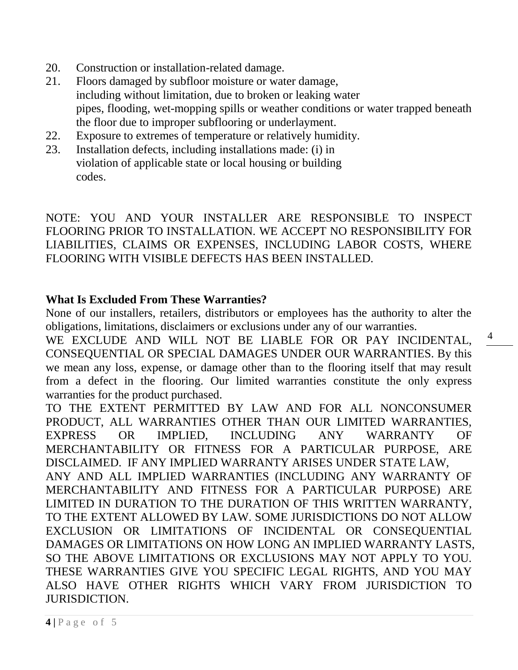- 20. Construction or installation-related damage.
- 21. Floors damaged by subfloor moisture or water damage, including without limitation, due to broken or leaking water pipes, flooding, wet-mopping spills or weather conditions or water trapped beneath the floor due to improper subflooring or underlayment.
- 22. Exposure to extremes of temperature or relatively humidity.
- 23. Installation defects, including installations made: (i) in violation of applicable state or local housing or building codes.

NOTE: YOU AND YOUR INSTALLER ARE RESPONSIBLE TO INSPECT FLOORING PRIOR TO INSTALLATION. WE ACCEPT NO RESPONSIBILITY FOR LIABILITIES, CLAIMS OR EXPENSES, INCLUDING LABOR COSTS, WHERE FLOORING WITH VISIBLE DEFECTS HAS BEEN INSTALLED.

#### **What Is Excluded From These Warranties?**

None of our installers, retailers, distributors or employees has the authority to alter the obligations, limitations, disclaimers or exclusions under any of our warranties.

WE EXCLUDE AND WILL NOT BE LIABLE FOR OR PAY INCIDENTAL, CONSEQUENTIAL OR SPECIAL DAMAGES UNDER OUR WARRANTIES. By this we mean any loss, expense, or damage other than to the flooring itself that may result from a defect in the flooring. Our limited warranties constitute the only express warranties for the product purchased.

TO THE EXTENT PERMITTED BY LAW AND FOR ALL NONCONSUMER PRODUCT, ALL WARRANTIES OTHER THAN OUR LIMITED WARRANTIES, EXPRESS OR IMPLIED, INCLUDING ANY WARRANTY OF MERCHANTABILITY OR FITNESS FOR A PARTICULAR PURPOSE, ARE DISCLAIMED. IF ANY IMPLIED WARRANTY ARISES UNDER STATE LAW, ANY AND ALL IMPLIED WARRANTIES (INCLUDING ANY WARRANTY OF MERCHANTABILITY AND FITNESS FOR A PARTICULAR PURPOSE) ARE LIMITED IN DURATION TO THE DURATION OF THIS WRITTEN WARRANTY, TO THE EXTENT ALLOWED BY LAW. SOME JURISDICTIONS DO NOT ALLOW EXCLUSION OR LIMITATIONS OF INCIDENTAL OR CONSEQUENTIAL DAMAGES OR LIMITATIONS ON HOW LONG AN IMPLIED WARRANTY LASTS, SO THE ABOVE LIMITATIONS OR EXCLUSIONS MAY NOT APPLY TO YOU. THESE WARRANTIES GIVE YOU SPECIFIC LEGAL RIGHTS, AND YOU MAY ALSO HAVE OTHER RIGHTS WHICH VARY FROM JURISDICTION TO JURISDICTION.